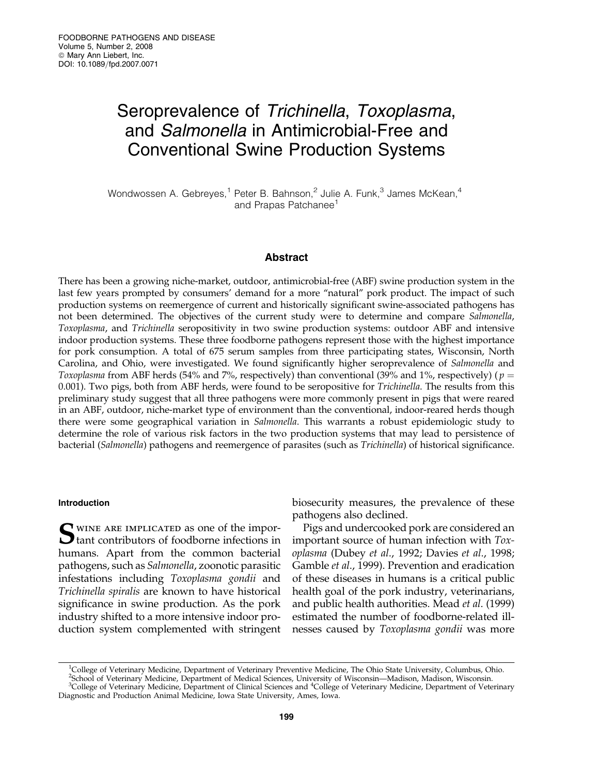# Seroprevalence of Trichinella, Toxoplasma, and Salmonella in Antimicrobial-Free and Conventional Swine Production Systems

Wondwossen A. Gebreyes,<sup>1</sup> Peter B. Bahnson,<sup>2</sup> Julie A. Funk,<sup>3</sup> James McKean,<sup>4</sup> and Prapas Patchanee<sup>1</sup>

## Abstract

There has been a growing niche-market, outdoor, antimicrobial-free (ABF) swine production system in the last few years prompted by consumers' demand for a more "natural" pork product. The impact of such production systems on reemergence of current and historically significant swine-associated pathogens has not been determined. The objectives of the current study were to determine and compare Salmonella, Toxoplasma, and Trichinella seropositivity in two swine production systems: outdoor ABF and intensive indoor production systems. These three foodborne pathogens represent those with the highest importance for pork consumption. A total of 675 serum samples from three participating states, Wisconsin, North Carolina, and Ohio, were investigated. We found significantly higher seroprevalence of Salmonella and Toxoplasma from ABF herds (54% and 7%, respectively) than conventional (39% and 1%, respectively) ( $p =$ 0.001). Two pigs, both from ABF herds, were found to be seropositive for *Trichinella*. The results from this preliminary study suggest that all three pathogens were more commonly present in pigs that were reared in an ABF, outdoor, niche-market type of environment than the conventional, indoor-reared herds though there were some geographical variation in *Salmonella*. This warrants a robust epidemiologic study to determine the role of various risk factors in the two production systems that may lead to persistence of bacterial (Salmonella) pathogens and reemergence of parasites (such as Trichinella) of historical significance.

## Introduction

Swine are implicated as one of the impor- $\mathbf{\mathcal{D}}$  tant contributors of foodborne infections in humans. Apart from the common bacterial pathogens, such as Salmonella, zoonotic parasitic infestations including Toxoplasma gondii and Trichinella spiralis are known to have historical significance in swine production. As the pork industry shifted to a more intensive indoor production system complemented with stringent biosecurity measures, the prevalence of these pathogens also declined.

Pigs and undercooked pork are considered an important source of human infection with Toxoplasma (Dubey et al., 1992; Davies et al., 1998; Gamble et al., 1999). Prevention and eradication of these diseases in humans is a critical public health goal of the pork industry, veterinarians, and public health authorities. Mead et al. (1999) estimated the number of foodborne-related illnesses caused by Toxoplasma gondii was more

<sup>&</sup>lt;sup>1</sup>College of Veterinary Medicine, Department of Veterinary Preventive Medicine, The Ohio State University, Columbus, Ohio.

<sup>2</sup> School of Veterinary Medicine, Department of Medical Sciences, University of Wisconsin—Madison, Madison, Wisconsin.

<sup>&</sup>lt;sup>3</sup>College of Veterinary Medicine, Department of Clinical Sciences and <sup>4</sup>College of Veterinary Medicine, Department of Veterinary Diagnostic and Production Animal Medicine, Iowa State University, Ames, Iowa.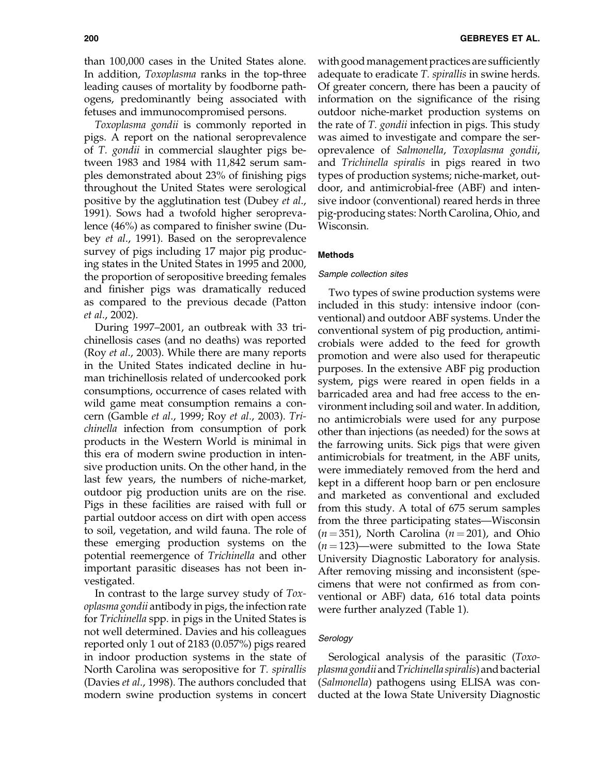than 100,000 cases in the United States alone. In addition, Toxoplasma ranks in the top-three leading causes of mortality by foodborne pathogens, predominantly being associated with fetuses and immunocompromised persons.

Toxoplasma gondii is commonly reported in pigs. A report on the national seroprevalence of T. gondii in commercial slaughter pigs between 1983 and 1984 with 11,842 serum samples demonstrated about 23% of finishing pigs throughout the United States were serological positive by the agglutination test (Dubey et al., 1991). Sows had a twofold higher seroprevalence (46%) as compared to finisher swine (Dubey et al., 1991). Based on the seroprevalence survey of pigs including 17 major pig producing states in the United States in 1995 and 2000, the proportion of seropositive breeding females and finisher pigs was dramatically reduced as compared to the previous decade (Patton et al., 2002).

During 1997–2001, an outbreak with 33 trichinellosis cases (and no deaths) was reported (Roy et al., 2003). While there are many reports in the United States indicated decline in human trichinellosis related of undercooked pork consumptions, occurrence of cases related with wild game meat consumption remains a concern (Gamble et al., 1999; Roy et al., 2003). Trichinella infection from consumption of pork products in the Western World is minimal in this era of modern swine production in intensive production units. On the other hand, in the last few years, the numbers of niche-market, outdoor pig production units are on the rise. Pigs in these facilities are raised with full or partial outdoor access on dirt with open access to soil, vegetation, and wild fauna. The role of these emerging production systems on the potential reemergence of Trichinella and other important parasitic diseases has not been investigated.

In contrast to the large survey study of Toxoplasma gondii antibody in pigs, the infection rate for Trichinella spp. in pigs in the United States is not well determined. Davies and his colleagues reported only 1 out of 2183 (0.057%) pigs reared in indoor production systems in the state of North Carolina was seropositive for T. spirallis (Davies et al., 1998). The authors concluded that modern swine production systems in concert with good management practices are sufficiently adequate to eradicate *T. spirallis* in swine herds. Of greater concern, there has been a paucity of information on the significance of the rising outdoor niche-market production systems on the rate of T. gondii infection in pigs. This study was aimed to investigate and compare the seroprevalence of Salmonella, Toxoplasma gondii, and Trichinella spiralis in pigs reared in two types of production systems; niche-market, outdoor, and antimicrobial-free (ABF) and intensive indoor (conventional) reared herds in three pig-producing states: North Carolina, Ohio, and Wisconsin.

### Methods

## Sample collection sites

Two types of swine production systems were included in this study: intensive indoor (conventional) and outdoor ABF systems. Under the conventional system of pig production, antimicrobials were added to the feed for growth promotion and were also used for therapeutic purposes. In the extensive ABF pig production system, pigs were reared in open fields in a barricaded area and had free access to the environment including soil and water. In addition, no antimicrobials were used for any purpose other than injections (as needed) for the sows at the farrowing units. Sick pigs that were given antimicrobials for treatment, in the ABF units, were immediately removed from the herd and kept in a different hoop barn or pen enclosure and marketed as conventional and excluded from this study. A total of 675 serum samples from the three participating states—Wisconsin  $(n = 351)$ , North Carolina  $(n = 201)$ , and Ohio  $(n = 123)$ —were submitted to the Iowa State University Diagnostic Laboratory for analysis. After removing missing and inconsistent (specimens that were not confirmed as from conventional or ABF) data, 616 total data points were further analyzed (Table 1).

## **Serology**

Serological analysis of the parasitic (Toxoplasma gondiiandTrichinella spiralis) andbacterial (Salmonella) pathogens using ELISA was conducted at the Iowa State University Diagnostic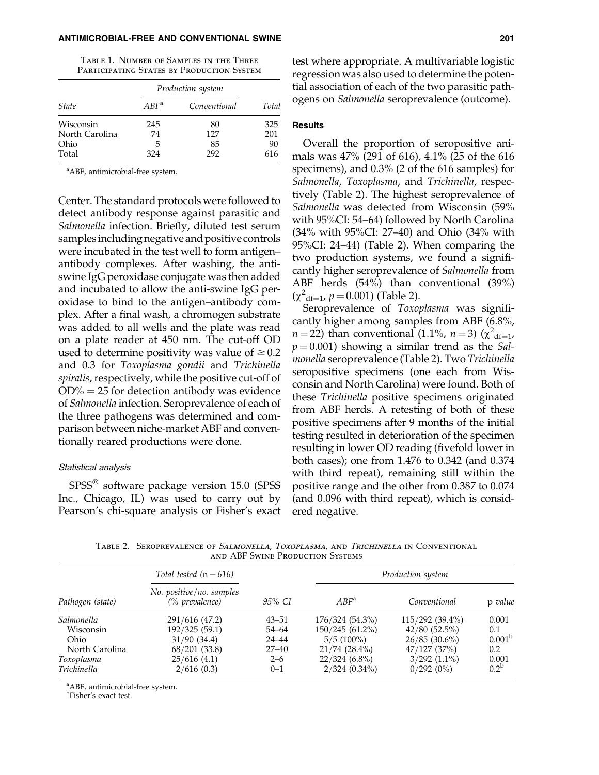#### ANTIMICROBIAL-FREE AND CONVENTIONAL SWINE 201

Table 1. Number of Samples in the Three PARTICIPATING STATES BY PRODUCTION SYSTEM

|                | Production system |              |       |
|----------------|-------------------|--------------|-------|
| <i>State</i>   | $ABF^a$           | Conventional | Total |
| Wisconsin      | 245               | 80           | 325   |
| North Carolina | 74                | 127          | 201   |
| Ohio           | 5                 | 85           | 90    |
| Total          | 324               | 292          | 616   |

<sup>a</sup>ABF, antimicrobial-free system.

Center. The standard protocols were followed to detect antibody response against parasitic and Salmonella infection. Briefly, diluted test serum samples including negative and positive controls were incubated in the test well to form antigen– antibody complexes. After washing, the antiswine IgG peroxidase conjugate was then added and incubated to allow the anti-swine IgG peroxidase to bind to the antigen–antibody complex. After a final wash, a chromogen substrate was added to all wells and the plate was read on a plate reader at 450 nm. The cut-off OD used to determine positivity was value of  $\geq 0.2$ and 0.3 for Toxoplasma gondii and Trichinella spiralis, respectively, while the positive cut-off of  $OD\% = 25$  for detection antibody was evidence of Salmonella infection. Seroprevalence of each of the three pathogens was determined and comparison between niche-market ABF and conventionally reared productions were done.

## Statistical analysis

SPSS<sup>®</sup> software package version 15.0 (SPSS Inc., Chicago, IL) was used to carry out by Pearson's chi-square analysis or Fisher's exact test where appropriate. A multivariable logistic regression was also used to determine the potential association of each of the two parasitic pathogens on Salmonella seroprevalence (outcome).

#### **Results**

Overall the proportion of seropositive animals was 47% (291 of 616), 4.1% (25 of the 616 specimens), and 0.3% (2 of the 616 samples) for Salmonella, Toxoplasma, and Trichinella, respectively (Table 2). The highest seroprevalence of Salmonella was detected from Wisconsin (59% with 95%CI: 54–64) followed by North Carolina (34% with 95%CI: 27–40) and Ohio (34% with 95%CI: 24–44) (Table 2). When comparing the two production systems, we found a significantly higher seroprevalence of Salmonella from ABF herds (54%) than conventional (39%)  $(\chi^2_{\text{df}=1}, p=0.001)$  (Table 2).

Seroprevalence of Toxoplasma was significantly higher among samples from ABF (6.8%,  $n = 22$ ) than conventional (1.1%,  $n = 3$ ) ( $\chi^2$ <sub>df=1</sub>,  $p = 0.001$ ) showing a similar trend as the Salmonella seroprevalence (Table 2). Two Trichinella seropositive specimens (one each from Wisconsin and North Carolina) were found. Both of these Trichinella positive specimens originated from ABF herds. A retesting of both of these positive specimens after 9 months of the initial testing resulted in deterioration of the specimen resulting in lower OD reading (fivefold lower in both cases); one from 1.476 to 0.342 (and 0.374 with third repeat), remaining still within the positive range and the other from 0.387 to 0.074 (and 0.096 with third repeat), which is considered negative.

TABLE 2. SEROPREVALENCE OF SALMONELLA, TOXOPLASMA, AND TRICHINELLA IN CONVENTIONAL and ABF Swine Production Systems

|                  | Total tested $(n = 616)$                   |           | Production system |                   |                    |
|------------------|--------------------------------------------|-----------|-------------------|-------------------|--------------------|
| Pathogen (state) | No. positive/no. samples<br>(% prevalence) | 95% CI    | $ABF^a$           | Conventional      | p value            |
| Salmonella       | 291/616 (47.2)                             | $43 - 51$ | 176/324 (54.3%)   | $115/292(39.4\%)$ | 0.001              |
| Wisconsin        | 192/325 (59.1)                             | $54 - 64$ | $150/245(61.2\%)$ | 42/80(52.5%)      | 0.1                |
| Ohio             | 31/90(34.4)                                | $24 - 44$ | $5/5(100\%)$      | $26/85(30.6\%)$   | 0.001 <sup>b</sup> |
| North Carolina   | $68/201$ (33.8)                            | $27 - 40$ | $21/74$ (28.4%)   | $47/127$ (37%)    | 0.2                |
| Toxoplasma       | 25/616(4.1)                                | $2 - 6$   | $22/324(6.8\%)$   | $3/292$ $(1.1\%)$ | 0.001              |
| Trichinella      | 2/616(0.3)                                 | $0 - 1$   | $2/324$ (0.34%)   | 0/292(0%)         | $0.2^{\rm b}$      |

a ABF, antimicrobial-free system.

b Fisher's exact test.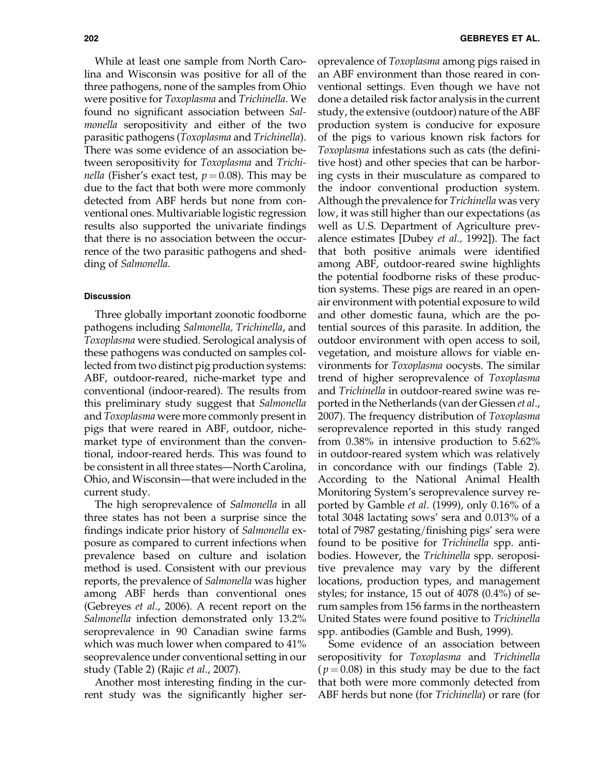While at least one sample from North Carolina and Wisconsin was positive for all of the three pathogens, none of the samples from Ohio were positive for Toxoplasma and Trichinella. We found no significant association between Salmonella seropositivity and either of the two parasitic pathogens (Toxoplasma and Trichinella). There was some evidence of an association between seropositivity for Toxoplasma and Trichi*nella* (Fisher's exact test,  $p = 0.08$ ). This may be due to the fact that both were more commonly detected from ABF herds but none from conventional ones. Multivariable logistic regression results also supported the univariate findings that there is no association between the occurrence of the two parasitic pathogens and shedding of Salmonella.

#### **Discussion**

Three globally important zoonotic foodborne pathogens including Salmonella, Trichinella, and Toxoplasma were studied. Serological analysis of these pathogens was conducted on samples collected from two distinct pig production systems: ABF, outdoor-reared, niche-market type and conventional (indoor-reared). The results from this preliminary study suggest that Salmonella and Toxoplasma were more commonly present in pigs that were reared in ABF, outdoor, nichemarket type of environment than the conventional, indoor-reared herds. This was found to be consistent in all three states—North Carolina, Ohio, and Wisconsin—that were included in the current study.

The high seroprevalence of Salmonella in all three states has not been a surprise since the findings indicate prior history of Salmonella exposure as compared to current infections when prevalence based on culture and isolation method is used. Consistent with our previous reports, the prevalence of Salmonella was higher among ABF herds than conventional ones (Gebreyes et al., 2006). A recent report on the Salmonella infection demonstrated only 13.2% seroprevalence in 90 Canadian swine farms which was much lower when compared to 41% seoprevalence under conventional setting in our study (Table 2) (Rajic et al., 2007).

Another most interesting finding in the current study was the significantly higher seroprevalence of Toxoplasma among pigs raised in an ABF environment than those reared in conventional settings. Even though we have not done a detailed risk factor analysis in the current study, the extensive (outdoor) nature of the ABF production system is conducive for exposure of the pigs to various known risk factors for Toxoplasma infestations such as cats (the definitive host) and other species that can be harboring cysts in their musculature as compared to the indoor conventional production system. Although the prevalence for Trichinella was very low, it was still higher than our expectations (as well as U.S. Department of Agriculture prevalence estimates [Dubey et al., 1992]). The fact that both positive animals were identified among ABF, outdoor-reared swine highlights the potential foodborne risks of these production systems. These pigs are reared in an openair environment with potential exposure to wild and other domestic fauna, which are the potential sources of this parasite. In addition, the outdoor environment with open access to soil, vegetation, and moisture allows for viable environments for Toxoplasma oocysts. The similar trend of higher seroprevalence of Toxoplasma and Trichinella in outdoor-reared swine was reported in the Netherlands (van der Giessen et al., 2007). The frequency distribution of Toxoplasma seroprevalence reported in this study ranged from 0.38% in intensive production to 5.62% in outdoor-reared system which was relatively in concordance with our findings (Table 2). According to the National Animal Health Monitoring System's seroprevalence survey reported by Gamble et al. (1999), only 0.16% of a total 3048 lactating sows' sera and 0.013% of a total of 7987 gestating/finishing pigs' sera were found to be positive for Trichinella spp. antibodies. However, the Trichinella spp. seropositive prevalence may vary by the different locations, production types, and management styles; for instance, 15 out of 4078 (0.4%) of serum samples from 156 farms in the northeastern United States were found positive to Trichinella spp. antibodies (Gamble and Bush, 1999).

Some evidence of an association between seropositivity for Toxoplasma and Trichinella  $(p=0.08)$  in this study may be due to the fact that both were more commonly detected from ABF herds but none (for Trichinella) or rare (for